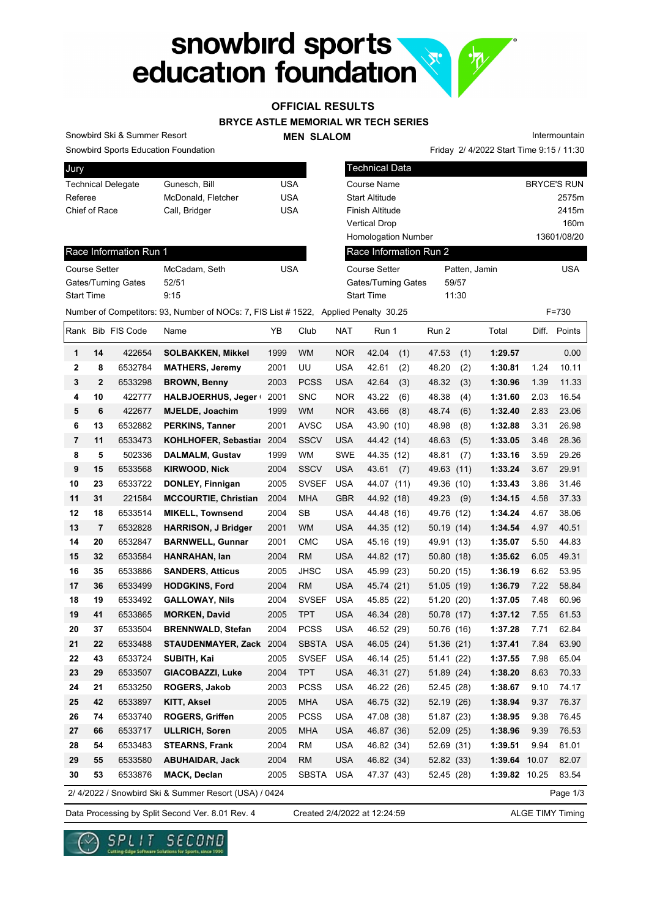# snowbird sports

## **OFFICIAL RESULTS**

## **BRYCE ASTLE MEMORIAL WR TECH SERIES**

#### **MEN SLALOM**

Snowbird Ski & Summer Resort

Snowbird Sports Education Foundation

| <b>Jury</b>               |                    |     |
|---------------------------|--------------------|-----|
| <b>Technical Delegate</b> | Gunesch, Bill      | USA |
| Referee                   | McDonald, Fletcher | USA |
| Chief of Race             | Call, Bridger      | USA |
|                           |                    |     |

|                            | Friday 2/ 4/2022 Start Time 9:15 / 11:30 |                    |
|----------------------------|------------------------------------------|--------------------|
| <b>Technical Data</b>      |                                          |                    |
| Course Name                |                                          | <b>BRYCE'S RUN</b> |
| Start Altitude             |                                          | 2575m              |
| Finish Altitude            |                                          | 2415m              |
| Vertical Drop              |                                          | 160m               |
| <b>Homologation Number</b> |                                          | 13601/08/20        |
| Race Information Run 2     |                                          |                    |
| <b>Course Setter</b>       | Patten, Jamin                            | USA                |
| Gates/Turning Gates        | 59/57                                    |                    |
| <b>Start Time</b>          | 11:30                                    |                    |
| d Penalty 30.25            |                                          | F=730              |

Intermountain

#### Race Information Run 1

| <b>Course Setter</b> | McCadam, Seth | USA |
|----------------------|---------------|-----|
| Gates/Turning Gates  | 52/51         |     |
| <b>Start Time</b>    | 9.15          |     |

|    | Number of Competitors: 93, Number of NOCs: 7, FIS List # 1522, Applied Penalty 30.25<br>$F = 730$ |                   |                                                       |      |              |            |              |            |                 |       |              |
|----|---------------------------------------------------------------------------------------------------|-------------------|-------------------------------------------------------|------|--------------|------------|--------------|------------|-----------------|-------|--------------|
|    |                                                                                                   | Rank Bib FIS Code | Name                                                  | YB   | Club         | NAT        | Run 1        | Run 2      | Total           |       | Diff. Points |
| 1  | 14                                                                                                | 422654            | <b>SOLBAKKEN, Mikkel</b>                              | 1999 | <b>WM</b>    | <b>NOR</b> | 42.04<br>(1) | 47.53      | (1)<br>1:29.57  |       | 0.00         |
| 2  | 8                                                                                                 | 6532784           | <b>MATHERS, Jeremy</b>                                | 2001 | UU           | <b>USA</b> | 42.61<br>(2) | 48.20      | (2)<br>1:30.81  | 1.24  | 10.11        |
| 3  | $\mathbf{2}$                                                                                      | 6533298           | <b>BROWN, Benny</b>                                   | 2003 | <b>PCSS</b>  | <b>USA</b> | 42.64<br>(3) | 48.32      | (3)<br>1:30.96  | 1.39  | 11.33        |
| 4  | 10                                                                                                | 422777            | HALBJOERHUS, Jeger                                    | 2001 | <b>SNC</b>   | NOR.       | 43.22<br>(6) | 48.38      | 1:31.60<br>(4)  | 2.03  | 16.54        |
| 5  | 6                                                                                                 | 422677            | <b>MJELDE, Joachim</b>                                | 1999 | <b>WM</b>    | <b>NOR</b> | 43.66<br>(8) | 48.74      | 1:32.40<br>(6)  | 2.83  | 23.06        |
| 6  | 13                                                                                                | 6532882           | <b>PERKINS, Tanner</b>                                | 2001 | <b>AVSC</b>  | <b>USA</b> | 43.90 (10)   | 48.98      | 1:32.88<br>(8)  | 3.31  | 26.98        |
| 7  | 11                                                                                                | 6533473           | <b>KOHLHOFER, Sebastial</b>                           | 2004 | <b>SSCV</b>  | <b>USA</b> | 44.42 (14)   | 48.63      | (5)<br>1:33.05  | 3.48  | 28.36        |
| 8  | 5                                                                                                 | 502336            | <b>DALMALM, Gustav</b>                                | 1999 | WM           | <b>SWE</b> | 44.35 (12)   | 48.81      | 1:33.16<br>(7)  | 3.59  | 29.26        |
| 9  | 15                                                                                                | 6533568           | <b>KIRWOOD, Nick</b>                                  | 2004 | <b>SSCV</b>  | <b>USA</b> | 43.61<br>(7) | 49.63      | 1:33.24<br>(11) | 3.67  | 29.91        |
| 10 | 23                                                                                                | 6533722           | <b>DONLEY, Finnigan</b>                               | 2005 | <b>SVSEF</b> | <b>USA</b> | 44.07 (11)   | 49.36 (10) | 1:33.43         | 3.86  | 31.46        |
| 11 | 31                                                                                                | 221584            | <b>MCCOURTIE, Christian</b>                           | 2004 | <b>MHA</b>   | <b>GBR</b> | 44.92 (18)   | 49.23      | 1:34.15<br>(9)  | 4.58  | 37.33        |
| 12 | 18                                                                                                | 6533514           | <b>MIKELL, Townsend</b>                               | 2004 | <b>SB</b>    | <b>USA</b> | 44.48 (16)   | 49.76 (12) | 1:34.24         | 4.67  | 38.06        |
| 13 | $\overline{7}$                                                                                    | 6532828           | <b>HARRISON, J Bridger</b>                            | 2001 | <b>WM</b>    | <b>USA</b> | 44.35 (12)   | 50.19(14)  | 1:34.54         | 4.97  | 40.51        |
| 14 | 20                                                                                                | 6532847           | <b>BARNWELL, Gunnar</b>                               | 2001 | <b>CMC</b>   | <b>USA</b> | 45.16 (19)   | 49.91 (13) | 1:35.07         | 5.50  | 44.83        |
| 15 | 32                                                                                                | 6533584           | HANRAHAN, Ian                                         | 2004 | RM           | <b>USA</b> | 44.82 (17)   | 50.80 (18) | 1:35.62         | 6.05  | 49.31        |
| 16 | 35                                                                                                | 6533886           | <b>SANDERS, Atticus</b>                               | 2005 | JHSC         | <b>USA</b> | 45.99 (23)   | 50.20 (15) | 1:36.19         | 6.62  | 53.95        |
| 17 | 36                                                                                                | 6533499           | <b>HODGKINS, Ford</b>                                 | 2004 | RM           | <b>USA</b> | 45.74 (21)   | 51.05 (19) | 1:36.79         | 7.22  | 58.84        |
| 18 | 19                                                                                                | 6533492           | <b>GALLOWAY, Nils</b>                                 | 2004 | <b>SVSEF</b> | <b>USA</b> | 45.85 (22)   | 51.20 (20) | 1:37.05         | 7.48  | 60.96        |
| 19 | 41                                                                                                | 6533865           | <b>MORKEN, David</b>                                  | 2005 | <b>TPT</b>   | <b>USA</b> | 46.34 (28)   | 50.78 (17) | 1:37.12         | 7.55  | 61.53        |
| 20 | 37                                                                                                | 6533504           | <b>BRENNWALD, Stefan</b>                              | 2004 | <b>PCSS</b>  | <b>USA</b> | 46.52 (29)   | 50.76 (16) | 1:37.28         | 7.71  | 62.84        |
| 21 | 22                                                                                                | 6533488           | STAUDENMAYER, Zack                                    | 2004 | <b>SBSTA</b> | <b>USA</b> | 46.05 (24)   | 51.36 (21) | 1:37.41         | 7.84  | 63.90        |
| 22 | 43                                                                                                | 6533724           | SUBITH, Kai                                           | 2005 | <b>SVSEF</b> | <b>USA</b> | 46.14 (25)   | 51.41 (22) | 1:37.55         | 7.98  | 65.04        |
| 23 | 29                                                                                                | 6533507           | GIACOBAZZI, Luke                                      | 2004 | <b>TPT</b>   | <b>USA</b> | 46.31 (27)   | 51.89 (24) | 1:38.20         | 8.63  | 70.33        |
| 24 | 21                                                                                                | 6533250           | <b>ROGERS, Jakob</b>                                  | 2003 | <b>PCSS</b>  | <b>USA</b> | 46.22 (26)   | 52.45 (28) | 1:38.67         | 9.10  | 74.17        |
| 25 | 42                                                                                                | 6533897           | <b>KITT, Aksel</b>                                    | 2005 | <b>MHA</b>   | <b>USA</b> | 46.75 (32)   | 52.19 (26) | 1:38.94         | 9.37  | 76.37        |
| 26 | 74                                                                                                | 6533740           | <b>ROGERS, Griffen</b>                                | 2005 | <b>PCSS</b>  | <b>USA</b> | 47.08 (38)   | 51.87 (23) | 1:38.95         | 9.38  | 76.45        |
| 27 | 66                                                                                                | 6533717           | <b>ULLRICH, Soren</b>                                 | 2005 | <b>MHA</b>   | <b>USA</b> | 46.87 (36)   | 52.09 (25) | 1:38.96         | 9.39  | 76.53        |
| 28 | 54                                                                                                | 6533483           | <b>STEARNS, Frank</b>                                 | 2004 | RM           | <b>USA</b> | 46.82 (34)   | 52.69 (31) | 1:39.51         | 9.94  | 81.01        |
| 29 | 55                                                                                                | 6533580           | <b>ABUHAIDAR, Jack</b>                                | 2004 | <b>RM</b>    | <b>USA</b> | 46.82 (34)   | 52.82 (33) | 1:39.64         | 10.07 | 82.07        |
| 30 | 53                                                                                                | 6533876           | <b>MACK, Declan</b>                                   | 2005 | <b>SBSTA</b> | <b>USA</b> | 47.37 (43)   | 52.45 (28) | 1:39.82 10.25   |       | 83.54        |
|    |                                                                                                   |                   | 2/ 4/2022 / Snowbird Ski & Summer Resort (USA) / 0424 |      |              |            |              |            |                 |       | Page 1/3     |

Data Processing by Split Second Ver. 8.01 Rev. 4 Created 2/4/2022 at 12:24:59 ALGE TIMY Timing

Page



Created 2/4/2022 at 12:24:59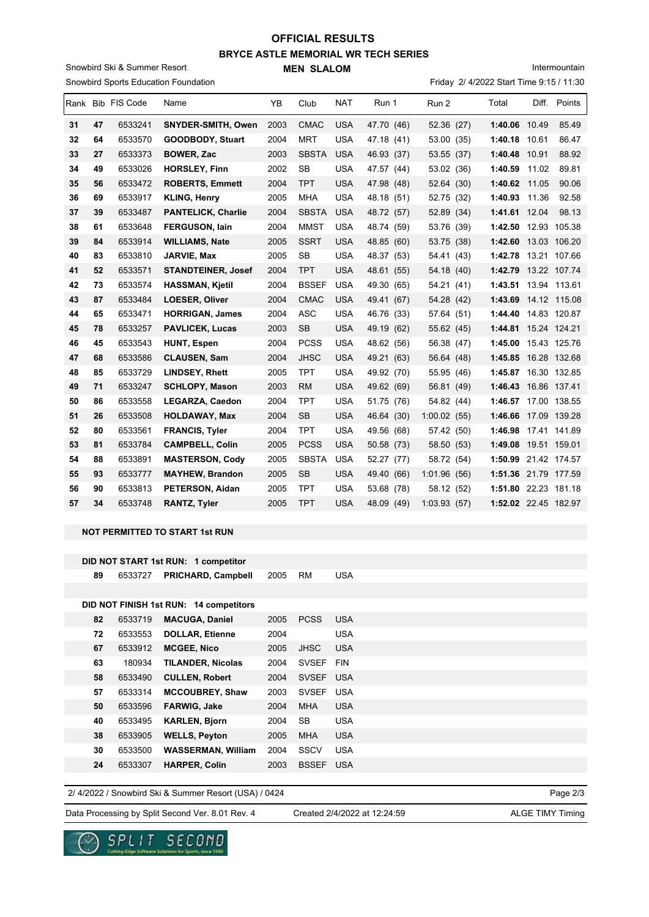# **BRYCE ASTLE MEMORIAL WR TECH SERIES MEN SLALOM OFFICIAL RESULTS**

Snowbird Sports Education Foundation Snowbird Ski & Summer Resort

Friday 2/ 4/2022 Start Time 9:15 / 11:30 Intermountain

|    |    | Rank Bib FIS Code | Name                      | YB   | Club         | <b>NAT</b> | Run 1      | Run 2       | Total                  | Diff. | Points       |
|----|----|-------------------|---------------------------|------|--------------|------------|------------|-------------|------------------------|-------|--------------|
| 31 | 47 | 6533241           | <b>SNYDER-SMITH, Owen</b> | 2003 | <b>CMAC</b>  | <b>USA</b> | 47.70 (46) | 52.36 (27)  | 1:40.06 10.49          |       | 85.49        |
| 32 | 64 | 6533570           | <b>GOODBODY, Stuart</b>   | 2004 | <b>MRT</b>   | <b>USA</b> | 47.18 (41) | 53.00 (35)  | 1:40.18 10.61          |       | 86.47        |
| 33 | 27 | 6533373           | <b>BOWER, Zac</b>         | 2003 | <b>SBSTA</b> | <b>USA</b> | 46.93 (37) | 53.55 (37)  | 1:40.48                | 10.91 | 88.92        |
| 34 | 49 | 6533026           | <b>HORSLEY, Finn</b>      | 2002 | <b>SB</b>    | <b>USA</b> | 47.57 (44) | 53.02 (36)  | 1:40.59                | 11.02 | 89.81        |
| 35 | 56 | 6533472           | <b>ROBERTS, Emmett</b>    | 2004 | <b>TPT</b>   | <b>USA</b> | 47.98 (48) | 52.64 (30)  | 1:40.62                | 11.05 | 90.06        |
| 36 | 69 | 6533917           | <b>KLING, Henry</b>       | 2005 | <b>MHA</b>   | <b>USA</b> | 48.18 (51) | 52.75 (32)  | 1:40.93                | 11.36 | 92.58        |
| 37 | 39 | 6533487           | <b>PANTELICK, Charlie</b> | 2004 | <b>SBSTA</b> | <b>USA</b> | 48.72 (57) | 52.89 (34)  | 1:41.61 12.04          |       | 98.13        |
| 38 | 61 | 6533648           | <b>FERGUSON, lain</b>     | 2004 | <b>MMST</b>  | <b>USA</b> | 48.74 (59) | 53.76 (39)  | 1:42.50 12.93 105.38   |       |              |
| 39 | 84 | 6533914           | <b>WILLIAMS, Nate</b>     | 2005 | <b>SSRT</b>  | <b>USA</b> | 48.85 (60) | 53.75 (38)  | 1:42.60 13.03 106.20   |       |              |
| 40 | 83 | 6533810           | <b>JARVIE, Max</b>        | 2005 | <b>SB</b>    | <b>USA</b> | 48.37 (53) | 54.41 (43)  | 1:42.78                |       | 13.21 107.66 |
| 41 | 52 | 6533571           | <b>STANDTEINER, Josef</b> | 2004 | <b>TPT</b>   | <b>USA</b> | 48.61 (55) | 54.18 (40)  | 1:42.79                |       | 13.22 107.74 |
| 42 | 73 | 6533574           | <b>HASSMAN, Kjetil</b>    | 2004 | <b>BSSEF</b> | <b>USA</b> | 49.30 (65) | 54.21 (41)  | 1:43.51                |       | 13.94 113.61 |
| 43 | 87 | 6533484           | <b>LOESER, Oliver</b>     | 2004 | <b>CMAC</b>  | <b>USA</b> | 49.41 (67) | 54.28 (42)  | 1:43.69 14.12 115.08   |       |              |
| 44 | 65 | 6533471           | <b>HORRIGAN, James</b>    | 2004 | <b>ASC</b>   | <b>USA</b> | 46.76 (33) | 57.64 (51)  | 1:44.40 14.83 120.87   |       |              |
| 45 | 78 | 6533257           | <b>PAVLICEK, Lucas</b>    | 2003 | <b>SB</b>    | <b>USA</b> | 49.19 (62) | 55.62 (45)  | 1:44.81  15.24  124.21 |       |              |
| 46 | 45 | 6533543           | <b>HUNT, Espen</b>        | 2004 | <b>PCSS</b>  | <b>USA</b> | 48.62 (56) | 56.38 (47)  | 1:45.00 15.43 125.76   |       |              |
| 47 | 68 | 6533586           | <b>CLAUSEN, Sam</b>       | 2004 | <b>JHSC</b>  | <b>USA</b> | 49.21 (63) | 56.64 (48)  | 1:45.85                |       | 16.28 132.68 |
| 48 | 85 | 6533729           | <b>LINDSEY, Rhett</b>     | 2005 | <b>TPT</b>   | <b>USA</b> | 49.92 (70) | 55.95 (46)  | 1:45.87                |       | 16.30 132.85 |
| 49 | 71 | 6533247           | <b>SCHLOPY, Mason</b>     | 2003 | <b>RM</b>    | <b>USA</b> | 49.62 (69) | 56.81 (49)  | 1:46.43                |       | 16.86 137.41 |
| 50 | 86 | 6533558           | LEGARZA, Caedon           | 2004 | <b>TPT</b>   | <b>USA</b> | 51.75 (76) | 54.82 (44)  | 1:46.57                |       | 17.00 138.55 |
| 51 | 26 | 6533508           | <b>HOLDAWAY, Max</b>      | 2004 | <b>SB</b>    | <b>USA</b> | 46.64 (30) | 1:00.02(55) | 1:46.66 17.09 139.28   |       |              |
| 52 | 80 | 6533561           | <b>FRANCIS, Tyler</b>     | 2004 | <b>TPT</b>   | <b>USA</b> | 49.56 (68) | 57.42 (50)  | 1:46.98 17.41 141.89   |       |              |
| 53 | 81 | 6533784           | <b>CAMPBELL, Colin</b>    | 2005 | <b>PCSS</b>  | <b>USA</b> | 50.58 (73) | 58.50 (53)  | 1:49.08                |       | 19.51 159.01 |
| 54 | 88 | 6533891           | <b>MASTERSON, Cody</b>    | 2005 | <b>SBSTA</b> | <b>USA</b> | 52.27 (77) | 58.72 (54)  | 1:50.99 21.42 174.57   |       |              |
| 55 | 93 | 6533777           | <b>MAYHEW, Brandon</b>    | 2005 | <b>SB</b>    | <b>USA</b> | 49.40 (66) | 1:01.96(56) | 1:51.36 21.79 177.59   |       |              |
| 56 | 90 | 6533813           | PETERSON, Aidan           | 2005 | <b>TPT</b>   | <b>USA</b> | 53.68 (78) | 58.12 (52)  | 1:51.80                |       | 22.23 181.18 |
| 57 | 34 | 6533748           | <b>RANTZ, Tyler</b>       | 2005 | <b>TPT</b>   | <b>USA</b> | 48.09 (49) | 1:03.93(57) | 1:52.02 22.45 182.97   |       |              |

#### **NOT PERMITTED TO START 1st RUN**

|    |         | DID NOT START 1st RUN: 1 competitor    |      |              |            |
|----|---------|----------------------------------------|------|--------------|------------|
| 89 | 6533727 | <b>PRICHARD, Campbell</b>              | 2005 | <b>RM</b>    | <b>USA</b> |
|    |         |                                        |      |              |            |
|    |         | DID NOT FINISH 1st RUN: 14 competitors |      |              |            |
| 82 | 6533719 | <b>MACUGA, Daniel</b>                  | 2005 | <b>PCSS</b>  | <b>USA</b> |
| 72 | 6533553 | <b>DOLLAR, Etienne</b>                 | 2004 |              | <b>USA</b> |
| 67 | 6533912 | <b>MCGEE, Nico</b>                     | 2005 | <b>JHSC</b>  | <b>USA</b> |
| 63 | 180934  | <b>TILANDER, Nicolas</b>               | 2004 | SVSEF        | <b>FIN</b> |
| 58 | 6533490 | <b>CULLEN, Robert</b>                  | 2004 | SVSEF USA    |            |
| 57 | 6533314 | <b>MCCOUBREY, Shaw</b>                 | 2003 | <b>SVSEF</b> | <b>USA</b> |
| 50 | 6533596 | <b>FARWIG, Jake</b>                    | 2004 | <b>MHA</b>   | <b>USA</b> |
| 40 | 6533495 | <b>KARLEN, Bjorn</b>                   | 2004 | <b>SB</b>    | <b>USA</b> |
| 38 | 6533905 | <b>WELLS, Peyton</b>                   | 2005 | <b>MHA</b>   | <b>USA</b> |
| 30 | 6533500 | <b>WASSERMAN, William</b>              | 2004 | <b>SSCV</b>  | <b>USA</b> |
| 24 | 6533307 | <b>HARPER, Colin</b>                   | 2003 | <b>BSSEF</b> | <b>USA</b> |
|    |         |                                        |      |              |            |

2/ 4/2022 / Snowbird Ski & Summer Resort (USA) / 0424

Data Processing by Split Second Ver. 8.01 Rev. 4 Created 2/4/2022 at 12:24:59 ALGE TIMY Timing

Created 2/4/2022 at 12:24:59

Page 2/3